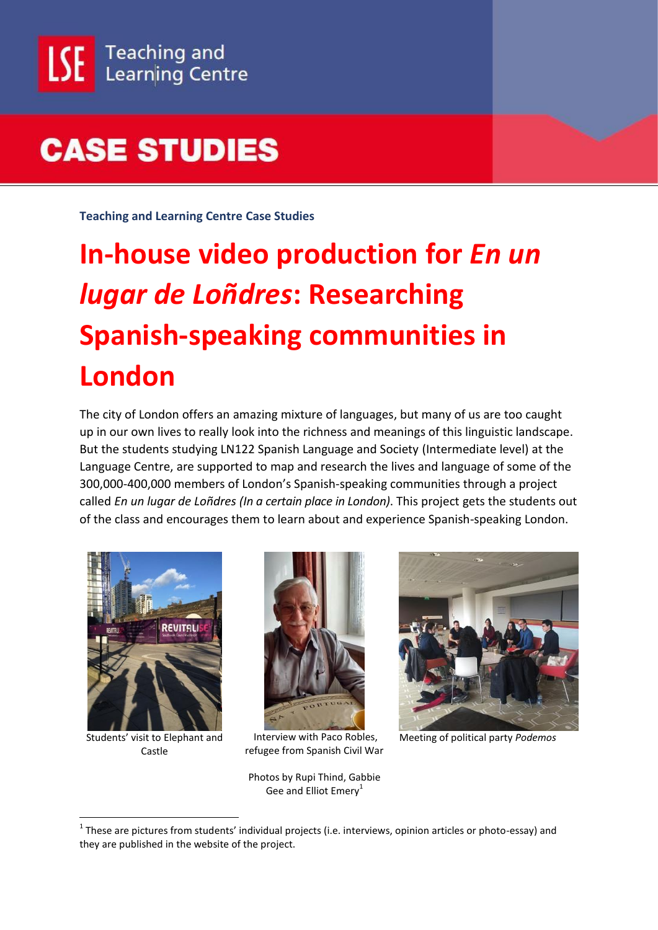**Teaching and Learning Centre Case Studies**

# **In-house video production for** *En un lugar de Loñdres***: Researching Spanish-speaking communities in London**

The city of London offers an amazing mixture of languages, but many of us are too caught up in our own lives to really look into the richness and meanings of this linguistic landscape. But the students studying LN122 Spanish Language and Society (Intermediate level) at the Language Centre, are supported to map and research the lives and language of some of the 300,000-400,000 members of London's Spanish-speaking communities through a project called *En un lugar de Loñdres (In a certain place in London)*. This project gets the students out of the class and encourages them to learn about and experience Spanish-speaking London.



Students' visit to Elephant and Castle

1



Interview with Paco Robles, refugee from Spanish Civil War

Photos by Rupi Thind, Gabbie Gee and Elliot  $Emerv<sup>1</sup>$ 



Meeting of political party *Podemos*

 $1$  These are pictures from students' individual projects (i.e. interviews, opinion articles or photo-essay) and they are published in the website of the project.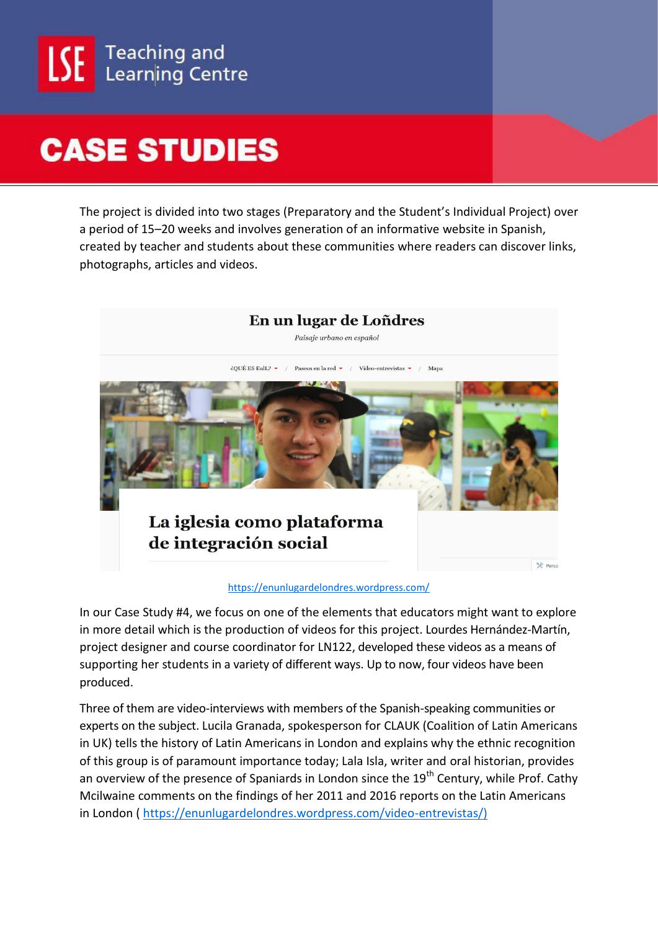

The project is divided into two stages (Preparatory and the Student's Individual Project) over a period of 15–20 weeks and involves generation of an informative website in Spanish, created by teacher and students about these communities where readers can discover links, photographs, articles and videos.



#### <https://enunlugardelondres.wordpress.com/>

In our Case Study #4, we focus on one of the elements that educators might want to explore in more detail which is the production of videos for this project. Lourdes Hernández-Martín, project designer and course coordinator for LN122, developed these videos as a means of supporting her students in a variety of different ways. Up to now, four videos have been produced.

Three of them are video-interviews with members of the Spanish-speaking communities or experts on the subject. Lucila Granada, spokesperson for CLAUK (Coalition of Latin Americans in UK) tells the history of Latin Americans in London and explains why the ethnic recognition of this group is of paramount importance today; Lala Isla, writer and oral historian, provides an overview of the presence of Spaniards in London since the 19<sup>th</sup> Century, while Prof. Cathy Mcilwaine comments on the findings of her 2011 and 2016 reports on the Latin Americans in London ( [https://enunlugardelondres.wordpress.com/video-entrevistas/\)](https://enunlugardelondres.wordpress.com/video-entrevistas/)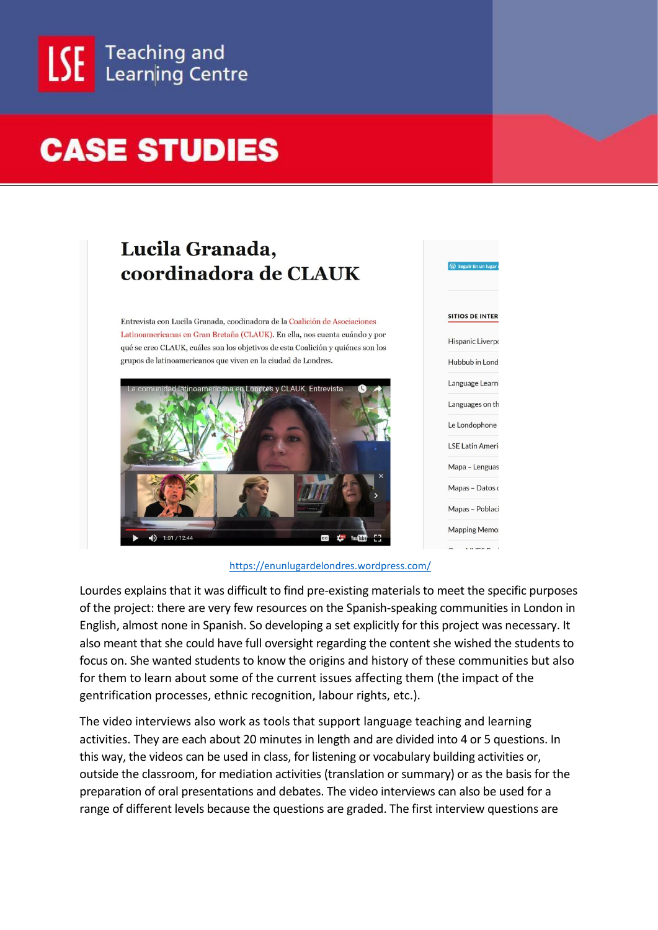

### Lucila Granada, coordinadora de CLAUK

Entrevista con Lucila Granada, coodinadora de la Coalición de Asociaciones Latinoamericanas en Gran Bretaña (CLAUK). En ella, nos cuenta cuándo y por qué se creo CLAUK, cuáles son los objetivos de esta Coalición y quiénes son los grupos de latinoamericanos que viven en la ciudad de Londres.



<https://enunlugardelondres.wordpress.com/>

 $\mathbf{a}$ 

**SITIOS DE INTER** 

**Hispanic Liverpo** 

Hubbub in Lond Language Learn

Languages on th Le Londophone **LSF Latin Ameri** Mapa - Lenguas Mapas - Datos o Mapas - Poblaci **Mapping Memo**  $\mathbf{u}$ 

Lourdes explains that it was difficult to find pre-existing materials to meet the specific purposes of the project: there are very few resources on the Spanish-speaking communities in London in English, almost none in Spanish. So developing a set explicitly for this project was necessary. It also meant that she could have full oversight regarding the content she wished the students to focus on. She wanted students to know the origins and history of these communities but also for them to learn about some of the current issues affecting them (the impact of the gentrification processes, ethnic recognition, labour rights, etc.).

The video interviews also work as tools that support language teaching and learning activities. They are each about 20 minutes in length and are divided into 4 or 5 questions. In this way, the videos can be used in class, for listening or vocabulary building activities or, outside the classroom, for mediation activities (translation or summary) or as the basis for the preparation of oral presentations and debates. The video interviews can also be used for a range of different levels because the questions are graded. The first interview questions are